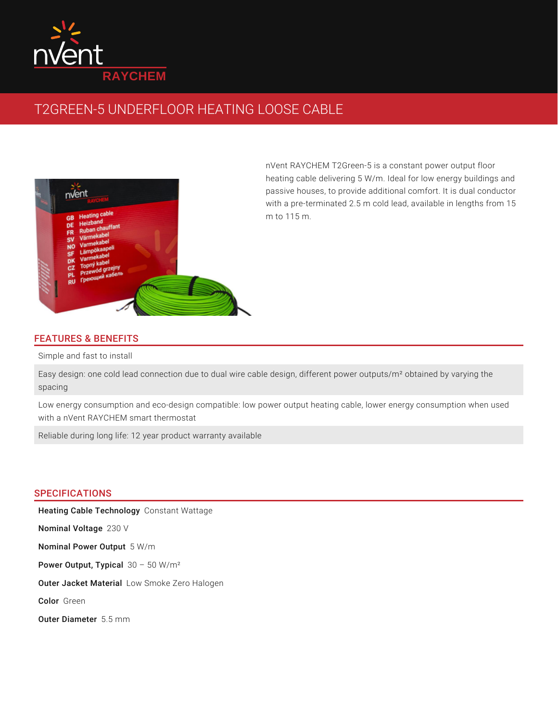

# T2GREEN-5 UNDERFLOOR HEATING LOOSE CABLE



nVent RAYCHEM T2Green-5 is a constant power output floor heating cable delivering 5 W/m. Ideal for low energy buildings and passive houses, to provide additional comfort. It is dual conductor with a pre-terminated 2.5 m cold lead, available in lengths from 15 m to 115 m.

## FEATURES & BENEFITS

Simple and fast to install

Easy design: one cold lead connection due to dual wire cable design, different power outputs/m² obtained by varying the spacing

Low energy consumption and eco-design compatible: low power output heating cable, lower energy consumption when used with a nVent RAYCHEM smart thermostat

Reliable during long life: 12 year product warranty available

### SPECIFICATIONS

Heating Cable Technology Constant Wattage **Nominal Voltage** 230 V Nominal Power Output 5 W/m Power Output, Typical  $30$  –  $50$  W/m<sup>2</sup> Outer Jacket Material Low Smoke Zero Halogen Color Green Outer Diameter 5.5 mm